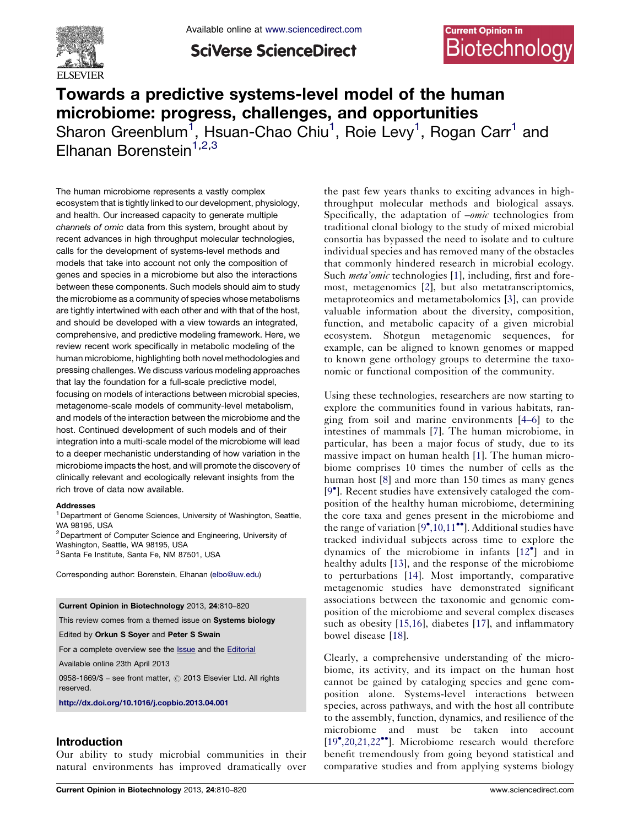

Available online at [www.sciencedirect.com](http://www.sciencedirect.com/science/journal/09581669)

**SciVerse ScienceDirect** 

# **Current Opinion in Biotechnology**

# Towards a predictive systems-level model of the human microbiome: progress, challenges, and opportunities

Sharon Greenblum<sup>1</sup>, Hsuan-Chao Chiu<sup>1</sup>, Roie Levy<sup>1</sup>, Rogan Carr<sup>1</sup> and Elhanan Borenstein $1,2,3$ 

The human microbiome represents a vastly complex ecosystem that is tightly linked to our development, physiology, and health. Our increased capacity to generate multiple channels of omic data from this system, brought about by recent advances in high throughput molecular technologies, calls for the development of systems-level methods and models that take into account not only the composition of genes and species in a microbiome but also the interactions between these components. Such models should aim to study the microbiome as a community of species whose metabolisms are tightly intertwined with each other and with that of the host, and should be developed with a view towards an integrated, comprehensive, and predictive modeling framework. Here, we review recent work specifically in metabolic modeling of the human microbiome, highlighting both novel methodologies and pressing challenges. We discuss various modeling approaches that lay the foundation for a full-scale predictive model, focusing on models of interactions between microbial species, metagenome-scale models of community-level metabolism, and models of the interaction between the microbiome and the host. Continued development of such models and of their integration into a multi-scale model of the microbiome will lead to a deeper mechanistic understanding of how variation in the microbiome impacts the host, and will promote the discovery of clinically relevant and ecologically relevant insights from the rich trove of data now available.

#### Addresses

<sup>1</sup> Department of Genome Sciences, University of Washington, Seattle, WA 98195, USA

<sup>2</sup> Department of Computer Science and Engineering, University of Washington, Seattle, WA 98195, USA

<sup>3</sup> Santa Fe Institute, Santa Fe, NM 87501, USA

Corresponding author: Borenstein, Elhanan ([elbo@uw.edu\)](elbo@uw.edu)

#### Current Opinion in Biotechnology 2013, 24:810–820

This review comes from a themed issue on Systems biology

Edited by Orkun S Soyer and Peter S Swain

For a complete overview see the **[Issue](http://www.sciencedirect.com/science/journal/09581669/24/4)** and the [Editorial](http://dx.doi.org/10.1016/j.copbio.2013.06.002)

Available online 23th April 2013

0958-1669/\$ - see front matter, @ 2013 Elsevier Ltd. All rights reserved.

<http://dx.doi.org/10.1016/j.copbio.2013.04.001>

## Introduction

Our ability to study microbial communities in their natural environments has improved dramatically over the past few years thanks to exciting advances in highthroughput molecular methods and biological assays. Specifically, the adaptation of *–omic* technologies from traditional clonal biology to the study of mixed microbial consortia has bypassed the need to isolate and to culture individual species and has removed many of the obstacles that commonly hindered research in microbial ecology. Such *meta'omic* technologies [[1\]](#page-7-0), including, first and foremost, metagenomics [[2\]](#page-7-0), but also metatranscriptomics, metaproteomics and metametabolomics [\[3](#page-7-0)], can provide valuable information about the diversity, composition, function, and metabolic capacity of a given microbial ecosystem. Shotgun metagenomic sequences, for example, can be aligned to known genomes or mapped to known gene orthology groups to determine the taxonomic or functional composition of the community.

Using these technologies, researchers are now starting to explore the communities found in various habitats, ranging from soil and marine environments [4–[6\]](#page-7-0) to the intestines of mammals [[7\]](#page-7-0). The human microbiome, in particular, has been a major focus of study, due to its massive impact on human health [\[1](#page-7-0)]. The human microbiome comprises 10 times the number of cells as the human host [[8\]](#page-7-0) and more than 150 times as many genes [\[9](#page-7-0) $\degree$ ]. Recent studies have extensively cataloged the composition of the healthy human microbiome, determining the core taxa and genes present in the microbiome and the range of variation  $[9^{\bullet}, 10, 11^{\bullet\bullet}]$  $[9^{\bullet}, 10, 11^{\bullet\bullet}]$ . Additional studies have tracked individual subjects across time to explore the dynamics of the microbiome in infants  $[12^{\bullet}]$  $[12^{\bullet}]$  $[12^{\bullet}]$  and in healthy adults [[13\]](#page-7-0), and the response of the microbiome to perturbations [[14\]](#page-7-0). Most importantly, comparative metagenomic studies have demonstrated significant associations between the taxonomic and genomic composition of the microbiome and several complex diseases such as obesity [[15,16](#page-7-0)], diabetes [\[17](#page-7-0)], and inflammatory bowel disease [[18\]](#page-7-0).

Clearly, a comprehensive understanding of the microbiome, its activity, and its impact on the human host cannot be gained by cataloging species and gene composition alone. Systems-level interactions between species, across pathways, and with the host all contribute to the assembly, function, dynamics, and resilience of the microbiome and must be taken into account [\[19](#page-7-0)<sup>\*</sup>[,20,21,22](#page-7-0)<sup>\*\*</sup>]. Microbiome research would therefore benefit tremendously from going beyond statistical and comparative studies and from applying systems biology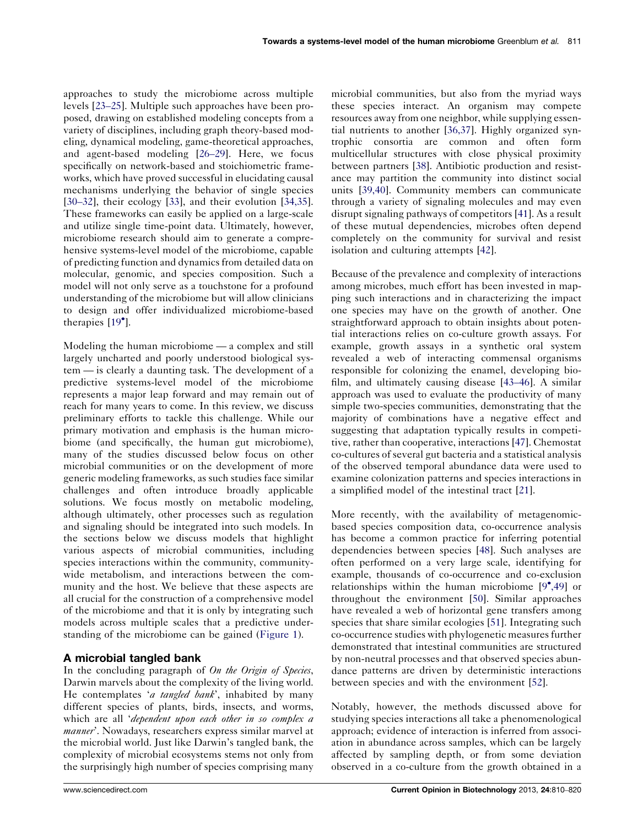approaches to study the microbiome across multiple levels [23–[25\]](#page-7-0). Multiple such approaches have been proposed, drawing on established modeling concepts from a variety of disciplines, including graph theory-based modeling, dynamical modeling, game-theoretical approaches, and agent-based modeling [\[26](#page-7-0)–29]. Here, we focus specifically on network-based and stoichiometric frameworks, which have proved successful in elucidating causal mechanisms underlying the behavior of single species [\[30](#page-7-0)–32], their ecology [\[33](#page-8-0)], and their evolution [[34,35](#page-8-0)]. These frameworks can easily be applied on a large-scale and utilize single time-point data. Ultimately, however, microbiome research should aim to generate a comprehensive systems-level model of the microbiome, capable of predicting function and dynamics from detailed data on molecular, genomic, and species composition. Such a model will not only serve as a touchstone for a profound understanding of the microbiome but will allow clinicians to design and offer individualized microbiome-based therapies [\[19](#page-7-0)<sup>°</sup>].

Modeling the human microbiome — a complex and still largely uncharted and poorly understood biological system — is clearly a daunting task. The development of a predictive systems-level model of the microbiome represents a major leap forward and may remain out of reach for many years to come. In this review, we discuss preliminary efforts to tackle this challenge. While our primary motivation and emphasis is the human microbiome (and specifically, the human gut microbiome), many of the studies discussed below focus on other microbial communities or on the development of more generic modeling frameworks, as such studies face similar challenges and often introduce broadly applicable solutions. We focus mostly on metabolic modeling, although ultimately, other processes such as regulation and signaling should be integrated into such models. In the sections below we discuss models that highlight various aspects of microbial communities, including species interactions within the community, communitywide metabolism, and interactions between the community and the host. We believe that these aspects are all crucial for the construction of a comprehensive model of the microbiome and that it is only by integrating such models across multiple scales that a predictive understanding of the microbiome can be gained [\(Figure](#page-2-0) 1).

## A microbial tangled bank

In the concluding paragraph of *On the Origin of Species*, Darwin marvels about the complexity of the living world. He contemplates 'a tangled bank', inhabited by many different species of plants, birds, insects, and worms, which are all 'dependent upon each other in so complex a manner'. Nowadays, researchers express similar marvel at the microbial world. Just like Darwin's tangled bank, the complexity of microbial ecosystems stems not only from the surprisingly high number of species comprising many

microbial communities, but also from the myriad ways these species interact. An organism may compete resources away from one neighbor, while supplying essential nutrients to another [[36,37](#page-8-0)]. Highly organized syntrophic consortia are common and often form multicellular structures with close physical proximity between partners [\[38](#page-8-0)]. Antibiotic production and resistance may partition the community into distinct social units [[39,40](#page-8-0)]. Community members can communicate through a variety of signaling molecules and may even disrupt signaling pathways of competitors [\[41](#page-8-0)]. As a result of these mutual dependencies, microbes often depend completely on the community for survival and resist isolation and culturing attempts [\[42](#page-8-0)].

Because of the prevalence and complexity of interactions among microbes, much effort has been invested in mapping such interactions and in characterizing the impact one species may have on the growth of another. One straightforward approach to obtain insights about potential interactions relies on co-culture growth assays. For example, growth assays in a synthetic oral system revealed a web of interacting commensal organisms responsible for colonizing the enamel, developing biofilm, and ultimately causing disease [43–[46\]](#page-8-0). A similar approach was used to evaluate the productivity of many simple two-species communities, demonstrating that the majority of combinations have a negative effect and suggesting that adaptation typically results in competitive, rather than cooperative, interactions [[47\]](#page-8-0). Chemostat co-cultures of several gut bacteria and a statistical analysis of the observed temporal abundance data were used to examine colonization patterns and species interactions in a simplified model of the intestinal tract [\[21](#page-7-0)].

More recently, with the availability of metagenomicbased species composition data, co-occurrence analysis has become a common practice for inferring potential dependencies between species [[48](#page-8-0)]. Such analyses are often performed on a very large scale, identifying for example, thousands of co-occurrence and co-exclusion relationships within the human microbiome [[9](#page-7-0)°[,49\]](#page-7-0) or throughout the environment [[50\]](#page-8-0). Similar approaches have revealed a web of horizontal gene transfers among species that share similar ecologies [[51\]](#page-8-0). Integrating such co-occurrence studies with phylogenetic measuresfurther demonstrated that intestinal communities are structured by non-neutral processes and that observed species abundance patterns are driven by deterministic interactions between species and with the environment [[52\]](#page-8-0).

Notably, however, the methods discussed above for studying species interactions all take a phenomenological approach; evidence of interaction is inferred from association in abundance across samples, which can be largely affected by sampling depth, or from some deviation observed in a co-culture from the growth obtained in a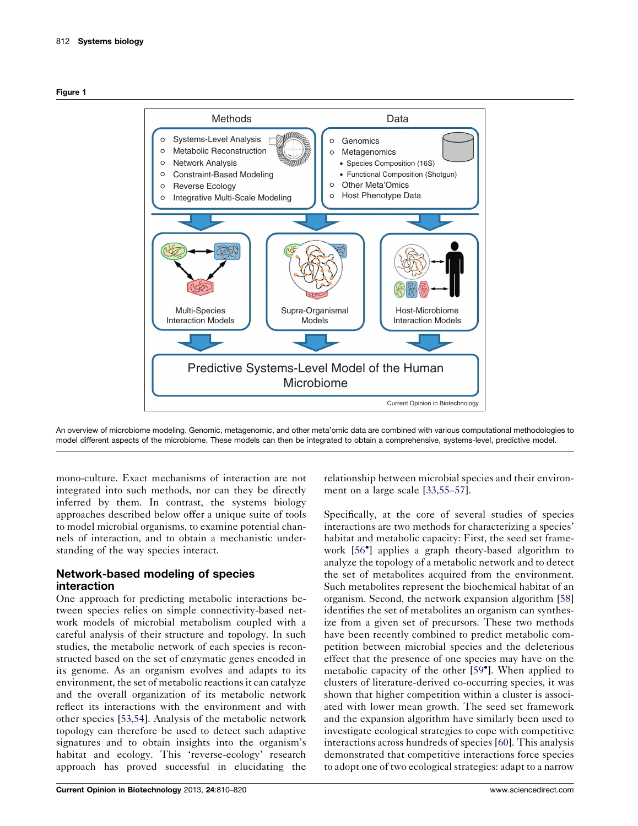<span id="page-2-0"></span>



An overview of microbiome modeling. Genomic, metagenomic, and other meta'omic data are combined with various computational methodologies to model different aspects of the microbiome. These models can then be integrated to obtain a comprehensive, systems-level, predictive model.

mono-culture. Exact mechanisms of interaction are not integrated into such methods, nor can they be directly inferred by them. In contrast, the systems biology approaches described below offer a unique suite of tools to model microbial organisms, to examine potential channels of interaction, and to obtain a mechanistic understanding of the way species interact.

# Network-based modeling of species interaction

One approach for predicting metabolic interactions between species relies on simple connectivity-based network models of microbial metabolism coupled with a careful analysis of their structure and topology. In such studies, the metabolic network of each species is reconstructed based on the set of enzymatic genes encoded in its genome. As an organism evolves and adapts to its environment, the set of metabolic reactions it can catalyze and the overall organization of its metabolic network reflect its interactions with the environment and with other species [\[53,54\]](#page-8-0). Analysis of the metabolic network topology can therefore be used to detect such adaptive signatures and to obtain insights into the organism's habitat and ecology. This 'reverse-ecology' research approach has proved successful in elucidating the

relationship between microbial species and their environment on a large scale [\[33,55](#page-8-0)–57].

Specifically, at the core of several studies of species interactions are two methods for characterizing a species' habitat and metabolic capacity: First, the seed set framework [[56](#page-8-0)- ] applies a graph theory-based algorithm to analyze the topology of a metabolic network and to detect the set of metabolites acquired from the environment. Such metabolites represent the biochemical habitat of an organism. Second, the network expansion algorithm [\[58\]](#page-8-0) identifies the set of metabolites an organism can synthesize from a given set of precursors. These two methods have been recently combined to predict metabolic competition between microbial species and the deleterious effect that the presence of one species may have on the metabolic capacity of the other [[59](#page-8-0)°]. When applied to clusters of literature-derived co-occurring species, it was shown that higher competition within a cluster is associated with lower mean growth. The seed set framework and the expansion algorithm have similarly been used to investigate ecological strategies to cope with competitive interactions across hundreds of species [\[60](#page-8-0)]. This analysis demonstrated that competitive interactions force species to adopt one of two ecological strategies: adapt to a narrow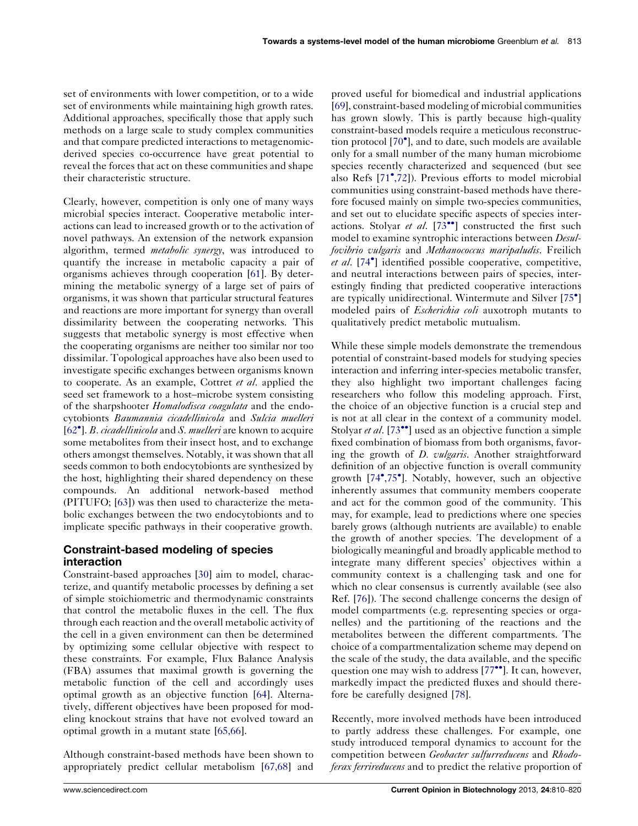set of environments with lower competition, or to a wide set of environments while maintaining high growth rates. Additional approaches, specifically those that apply such methods on a large scale to study complex communities and that compare predicted interactions to metagenomicderived species co-occurrence have great potential to reveal the forces that act on these communities and shape their characteristic structure.

Clearly, however, competition is only one of many ways microbial species interact. Cooperative metabolic interactions can lead to increased growth or to the activation of novel pathways. An extension of the network expansion algorithm, termed *metabolic synergy*, was introduced to quantify the increase in metabolic capacity a pair of organisms achieves through cooperation [\[61](#page-8-0)]. By determining the metabolic synergy of a large set of pairs of organisms, it was shown that particular structural features and reactions are more important for synergy than overall dissimilarity between the cooperating networks. This suggests that metabolic synergy is most effective when the cooperating organisms are neither too similar nor too dissimilar. Topological approaches have also been used to investigate specific exchanges between organisms known to cooperate. As an example, Cottret *et al.* applied the seed set framework to a host–microbe system consisting of the sharpshooter *Homalodisca coagulata* and the endocytobionts Baumannia cicadellinicola and Sulcia muelleri [\[62](#page-8-0)<sup>•</sup>]. *B. cicadellinicola* and *S. muelleri* are known to acquire some metabolites from their insect host, and to exchange others amongst themselves. Notably, it was shown that all seeds common to both endocytobionts are synthesized by the host, highlighting their shared dependency on these compounds. An additional network-based method (PITUFO; [[63\]](#page-8-0)) was then used to characterize the metabolic exchanges between the two endocytobionts and to implicate specific pathways in their cooperative growth.

# Constraint-based modeling of species interaction

Constraint-based approaches [\[30](#page-7-0)] aim to model, characterize, and quantify metabolic processes by defining a set of simple stoichiometric and thermodynamic constraints that control the metabolic fluxes in the cell. The flux through each reaction and the overall metabolic activity of the cell in a given environment can then be determined by optimizing some cellular objective with respect to these constraints. For example, Flux Balance Analysis (FBA) assumes that maximal growth is governing the metabolic function of the cell and accordingly uses optimal growth as an objective function [\[64](#page-8-0)]. Alternatively, different objectives have been proposed for modeling knockout strains that have not evolved toward an optimal growth in a mutant state [[65,66](#page-8-0)].

Although constraint-based methods have been shown to appropriately predict cellular metabolism [\[67,68\]](#page-8-0) and

proved useful for biomedical and industrial applications [[69](#page-8-0)], constraint-based modeling of microbial communities has grown slowly. This is partly because high-quality constraint-based models require a meticulous reconstruc-tion protocol [\[70](#page-9-0)°], and to date, such models are available only for a small number of the many human microbiome species recently characterized and sequenced (but see also Refs [[71](#page-9-0)°[,72](#page-9-0)]). Previous efforts to model microbial communities using constraint-based methods have therefore focused mainly on simple two-species communities, and set out to elucidate specific aspects of species interactions. Stolyar et al.  $[73\text{'''}]$  $[73\text{'''}]$  constructed the first such model to examine syntrophic interactions between Desulfovibrio vulgaris and Methanococcus maripaludis. Freilich et al. [[74](#page-9-0)<sup>\*</sup>] identified possible cooperative, competitive, and neutral interactions between pairs of species, interestingly finding that predicted cooperative interactions are typically unidirectional. Wintermute and Silver [\[75](#page-9-0)<sup>°</sup>] modeled pairs of *Escherichia coli* auxotroph mutants to qualitatively predict metabolic mutualism.

While these simple models demonstrate the tremendous potential of constraint-based models for studying species interaction and inferring inter-species metabolic transfer, they also highlight two important challenges facing researchers who follow this modeling approach. First, the choice of an objective function is a crucial step and is not at all clear in the context of a community model. Stolyar et al. [[73](#page-9-0)<sup>••</sup>] used as an objective function a simple fixed combination of biomass from both organisms, favoring the growth of *D. vulgaris*. Another straightforward definition of an objective function is overall community growth [[74](#page-9-0)°[,75](#page-9-0)°]. Notably, however, such an objective inherently assumes that community members cooperate and act for the common good of the community. This may, for example, lead to predictions where one species barely grows (although nutrients are available) to enable the growth of another species. The development of a biologically meaningful and broadly applicable method to integrate many different species' objectives within a community context is a challenging task and one for which no clear consensus is currently available (see also Ref. [[76\]](#page-9-0)). The second challenge concerns the design of model compartments (e.g. representing species or organelles) and the partitioning of the reactions and the metabolites between the different compartments. The choice of a compartmentalization scheme may depend on the scale of the study, the data available, and the specific question one may wish to address [\[77](#page-9-0)\*\*]. It can, however, markedly impact the predicted fluxes and should therefore be carefully designed [[78\]](#page-9-0).

Recently, more involved methods have been introduced to partly address these challenges. For example, one study introduced temporal dynamics to account for the competition between Geobacter sulfurreducens and Rhodoferax ferrireducens and to predict the relative proportion of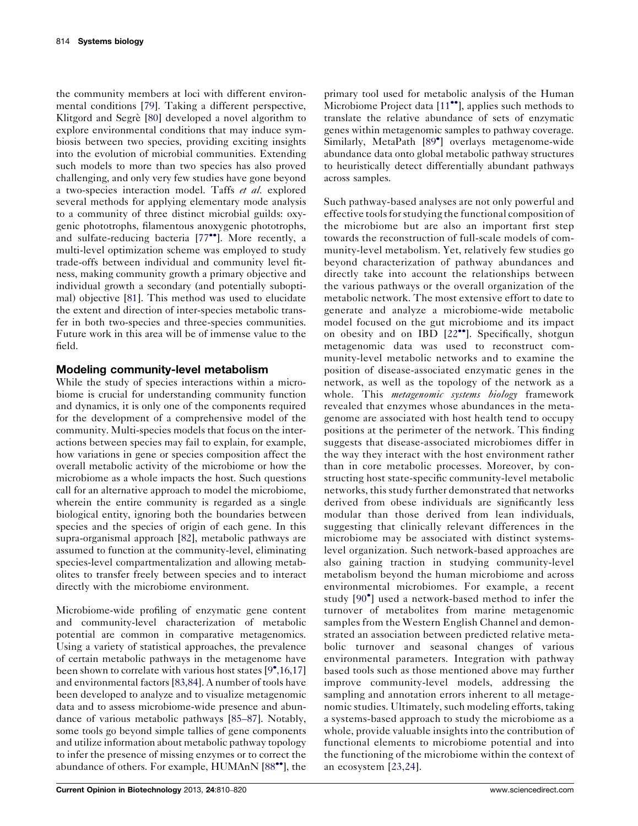the community members at loci with different environmental conditions [\[79](#page-9-0)]. Taking a different perspective, Klitgord and Segrè [\[80](#page-9-0)] developed a novel algorithm to explore environmental conditions that may induce symbiosis between two species, providing exciting insights into the evolution of microbial communities. Extending such models to more than two species has also proved challenging, and only very few studies have gone beyond a two-species interaction model. Taffs et al. explored several methods for applying elementary mode analysis to a community of three distinct microbial guilds: oxygenic phototrophs, filamentous anoxygenic phototrophs, and sulfate-reducing bacteria [[77](#page-9-0)\*\*]. More recently, a multi-level optimization scheme was employed to study trade-offs between individual and community level fitness, making community growth a primary objective and individual growth a secondary (and potentially suboptimal) objective [\[81](#page-9-0)]. This method was used to elucidate the extent and direction of inter-species metabolic transfer in both two-species and three-species communities. Future work in this area will be of immense value to the field.

# Modeling community-level metabolism

While the study of species interactions within a microbiome is crucial for understanding community function and dynamics, it is only one of the components required for the development of a comprehensive model of the community. Multi-species models that focus on the interactions between species may fail to explain, for example, how variations in gene or species composition affect the overall metabolic activity of the microbiome or how the microbiome as a whole impacts the host. Such questions call for an alternative approach to model the microbiome, wherein the entire community is regarded as a single biological entity, ignoring both the boundaries between species and the species of origin of each gene. In this supra-organismal approach [[82\]](#page-9-0), metabolic pathways are assumed to function at the community-level, eliminating species-level compartmentalization and allowing metabolites to transfer freely between species and to interact directly with the microbiome environment.

Microbiome-wide profiling of enzymatic gene content and community-level characterization of metabolic potential are common in comparative metagenomics. Using a variety of statistical approaches, the prevalence of certain metabolic pathways in the metagenome have been shown to correlate with various host states [\[9](#page-7-0)[,16,17\]](#page-7-0) and environmental factors [[83,84](#page-9-0)]. A number of tools have been developed to analyze and to visualize metagenomic data and to assess microbiome-wide presence and abundance of various metabolic pathways [\[85](#page-9-0)–87]. Notably, some tools go beyond simple tallies of gene components and utilize information about metabolic pathway topology to infer the presence of missing enzymes or to correct the abundance of others. For example, HUMAnN [\[88](#page-9-0)<sup>\*</sup>], the

primary tool used for metabolic analysis of the Human Microbiome Project data [[11](#page-7-0)<sup>••</sup>], applies such methods to translate the relative abundance of sets of enzymatic genes within metagenomic samples to pathway coverage. Similarly, MetaPath [[89](#page-9-0)<sup>°</sup>] overlays metagenome-wide abundance data onto global metabolic pathway structures to heuristically detect differentially abundant pathways across samples.

Such pathway-based analyses are not only powerful and effective toolsforstudying the functional composition of the microbiome but are also an important first step towards the reconstruction of full-scale models of community-level metabolism. Yet, relatively few studies go beyond characterization of pathway abundances and directly take into account the relationships between the various pathways or the overall organization of the metabolic network. The most extensive effort to date to generate and analyze a microbiome-wide metabolic model focused on the gut microbiome and its impact on obesity and on IBD [[22](#page-7-0)<sup>\*</sup>]. Specifically, shotgun metagenomic data was used to reconstruct community-level metabolic networks and to examine the position of disease-associated enzymatic genes in the network, as well as the topology of the network as a whole. This *metagenomic systems biology* framework revealed that enzymes whose abundances in the metagenome are associated with host health tend to occupy positions at the perimeter of the network. This finding suggests that disease-associated microbiomes differ in the way they interact with the host environment rather than in core metabolic processes. Moreover, by constructing host state-specific community-level metabolic networks, thisstudy further demonstrated that networks derived from obese individuals are significantly less modular than those derived from lean individuals, suggesting that clinically relevant differences in the microbiome may be associated with distinct systemslevel organization. Such network-based approaches are also gaining traction in studying community-level metabolism beyond the human microbiome and across environmental microbiomes. For example, a recent study [[90](#page-9-0)<sup>\*</sup>] used a network-based method to infer the turnover of metabolites from marine metagenomic samples from the Western English Channel and demonstrated an association between predicted relative metabolic turnover and seasonal changes of various environmental parameters. Integration with pathway based tools such as those mentioned above may further improve community-level models, addressing the sampling and annotation errors inherent to all metagenomic studies. Ultimately, such modeling efforts, taking a systems-based approach to study the microbiome as a whole, provide valuable insights into the contribution of functional elements to microbiome potential and into the functioning of the microbiome within the context of an ecosystem [[23,24](#page-7-0)].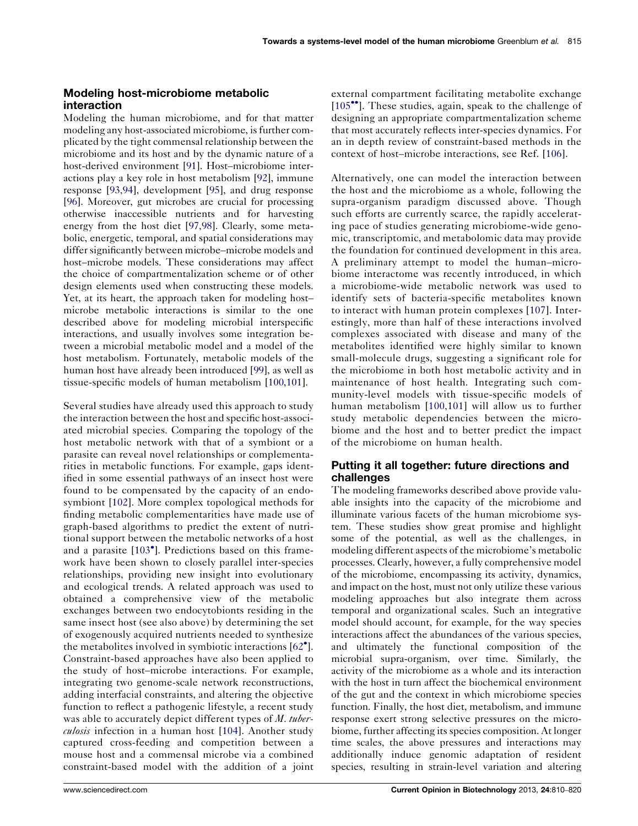## Modeling host-microbiome metabolic interaction

Modeling the human microbiome, and for that matter modeling any host-associated microbiome, is further complicated by the tight commensal relationship between the microbiome and its host and by the dynamic nature of a host-derived environment [[91\]](#page-9-0). Host–microbiome interactions play a key role in host metabolism [[92\]](#page-9-0), immune response [\[93,94\]](#page-9-0), development [\[95](#page-9-0)], and drug response [\[96](#page-9-0)]. Moreover, gut microbes are crucial for processing otherwise inaccessible nutrients and for harvesting energy from the host diet [\[97,98\]](#page-9-0). Clearly, some metabolic, energetic, temporal, and spatial considerations may differ significantly between microbe–microbe models and host–microbe models. These considerations may affect the choice of compartmentalization scheme or of other design elements used when constructing these models. Yet, at its heart, the approach taken for modeling host– microbe metabolic interactions is similar to the one described above for modeling microbial interspecific interactions, and usually involves some integration between a microbial metabolic model and a model of the host metabolism. Fortunately, metabolic models of the human host have already been introduced [[99\]](#page-9-0), as well as tissue-specific models of human metabolism [[100,101](#page-9-0)].

Several studies have already used this approach to study the interaction between the host and specific host-associated microbial species. Comparing the topology of the host metabolic network with that of a symbiont or a parasite can reveal novel relationships or complementarities in metabolic functions. For example, gaps identified in some essential pathways of an insect host were found to be compensated by the capacity of an endosymbiont [[102\]](#page-10-0). More complex topological methods for finding metabolic complementarities have made use of graph-based algorithms to predict the extent of nutritional support between the metabolic networks of a host and a parasite [\[103](#page-10-0)°]. Predictions based on this framework have been shown to closely parallel inter-species relationships, providing new insight into evolutionary and ecological trends. A related approach was used to obtained a comprehensive view of the metabolic exchanges between two endocytobionts residing in the same insect host (see also above) by determining the set of exogenously acquired nutrients needed to synthesize the metabolites involved in symbiotic interactions [\[62](#page-8-0)<sup>°</sup>]. Constraint-based approaches have also been applied to the study of host–microbe interactions. For example, integrating two genome-scale network reconstructions, adding interfacial constraints, and altering the objective function to reflect a pathogenic lifestyle, a recent study was able to accurately depict different types of M. tuberculosis infection in a human host [\[104\]](#page-10-0). Another study captured cross-feeding and competition between a mouse host and a commensal microbe via a combined constraint-based model with the addition of a joint external compartment facilitating metabolite exchange [[105](#page-10-0)<sup>••</sup>]. These studies, again, speak to the challenge of designing an appropriate compartmentalization scheme that most accurately reflects inter-species dynamics. For an in depth review of constraint-based methods in the context of host–microbe interactions, see Ref. [\[106\]](#page-10-0).

Alternatively, one can model the interaction between the host and the microbiome as a whole, following the supra-organism paradigm discussed above. Though such efforts are currently scarce, the rapidly accelerating pace of studies generating microbiome-wide genomic, transcriptomic, and metabolomic data may provide the foundation for continued development in this area. A preliminary attempt to model the human–microbiome interactome was recently introduced, in which a microbiome-wide metabolic network was used to identify sets of bacteria-specific metabolites known to interact with human protein complexes [[107](#page-10-0)]. Interestingly, more than half of these interactions involved complexes associated with disease and many of the metabolites identified were highly similar to known small-molecule drugs, suggesting a significant role for the microbiome in both host metabolic activity and in maintenance of host health. Integrating such community-level models with tissue-specific models of human metabolism [[100,101](#page-9-0)] will allow us to further study metabolic dependencies between the microbiome and the host and to better predict the impact of the microbiome on human health.

## Putting it all together: future directions and challenges

The modeling frameworks described above provide valuable insights into the capacity of the microbiome and illuminate various facets of the human microbiome system. These studies show great promise and highlight some of the potential, as well as the challenges, in modeling different aspects of the microbiome's metabolic processes. Clearly, however, a fully comprehensive model of the microbiome, encompassing its activity, dynamics, and impact on the host, must not only utilize these various modeling approaches but also integrate them across temporal and organizational scales. Such an integrative model should account, for example, for the way species interactions affect the abundances of the various species, and ultimately the functional composition of the microbial supra-organism, over time. Similarly, the activity of the microbiome as a whole and its interaction with the host in turn affect the biochemical environment of the gut and the context in which microbiome species function. Finally, the host diet, metabolism, and immune response exert strong selective pressures on the microbiome, further affecting its species composition. At longer time scales, the above pressures and interactions may additionally induce genomic adaptation of resident species, resulting in strain-level variation and altering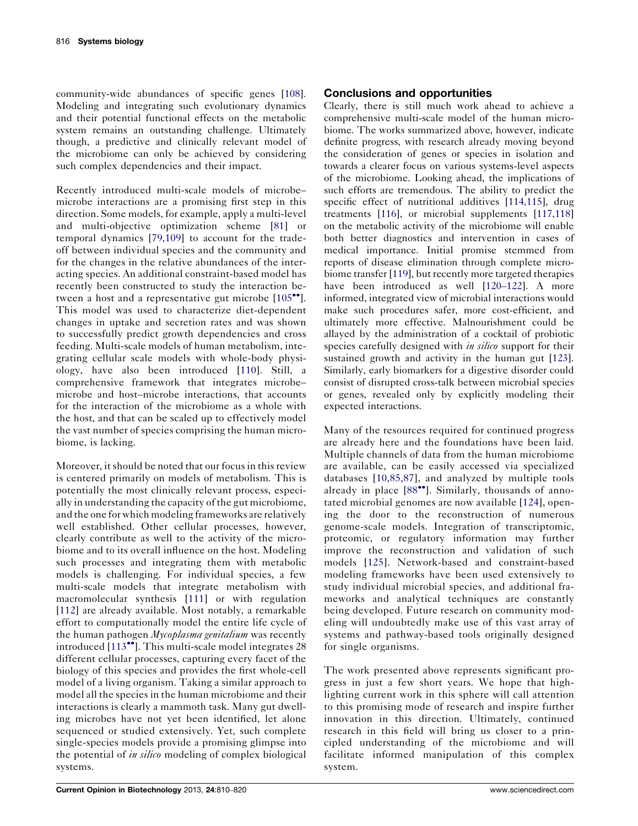community-wide abundances of specific genes [\[108](#page-10-0)]. Modeling and integrating such evolutionary dynamics and their potential functional effects on the metabolic system remains an outstanding challenge. Ultimately though, a predictive and clinically relevant model of the microbiome can only be achieved by considering such complex dependencies and their impact.

Recently introduced multi-scale models of microbe– microbe interactions are a promising first step in this direction. Some models, for example, apply a multi-level and multi-objective optimization scheme [[81](#page-9-0)] or temporal dynamics [[79,109\]](#page-9-0) to account for the tradeoff between individual species and the community and for the changes in the relative abundances of the interacting species. An additional constraint-based model has recently been constructed to study the interaction be-tween a host and a representative gut microbe [\[105](#page-10-0)<sup>\*</sup>]. This model was used to characterize diet-dependent changes in uptake and secretion rates and was shown to successfully predict growth dependencies and cross feeding. Multi-scale models of human metabolism, integrating cellular scale models with whole-body physiology, have also been introduced [[110](#page-10-0)]. Still, a comprehensive framework that integrates microbe– microbe and host–microbe interactions, that accounts for the interaction of the microbiome as a whole with the host, and that can be scaled up to effectively model the vast number of species comprising the human microbiome, is lacking.

Moreover, it should be noted that our focus in this review is centered primarily on models of metabolism. This is potentially the most clinically relevant process, especially in understanding the capacity of the gut microbiome, and the one for which modeling frameworks are relatively well established. Other cellular processes, however, clearly contribute as well to the activity of the microbiome and to its overall influence on the host. Modeling such processes and integrating them with metabolic models is challenging. For individual species, a few multi-scale models that integrate metabolism with macromolecular synthesis [[111](#page-10-0)] or with regulation [\[112\]](#page-10-0) are already available. Most notably, a remarkable effort to computationally model the entire life cycle of the human pathogen Mycoplasma genitalium was recently introduced [\[113](#page-10-0)\*\*]. This multi-scale model integrates 28 different cellular processes, capturing every facet of the biology of this species and provides the first whole-cell model of a living organism. Taking a similar approach to model all the species in the human microbiome and their interactions is clearly a mammoth task. Many gut dwelling microbes have not yet been identified, let alone sequenced or studied extensively. Yet, such complete single-species models provide a promising glimpse into the potential of *in silico* modeling of complex biological systems.

# Conclusions and opportunities

Clearly, there is still much work ahead to achieve a comprehensive multi-scale model of the human microbiome. The works summarized above, however, indicate definite progress, with research already moving beyond the consideration of genes or species in isolation and towards a clearer focus on various systems-level aspects of the microbiome. Looking ahead, the implications of such efforts are tremendous. The ability to predict the specific effect of nutritional additives [\[114,115\]](#page-10-0), drug treatments [[116\]](#page-10-0), or microbial supplements [[117,118\]](#page-10-0) on the metabolic activity of the microbiome will enable both better diagnostics and intervention in cases of medical importance. Initial promise stemmed from reports of disease elimination through complete microbiome transfer [[119\]](#page-10-0), but recently more targeted therapies have been introduced as well [120–[122\]](#page-10-0). A more informed, integrated view of microbial interactions would make such procedures safer, more cost-efficient, and ultimately more effective. Malnourishment could be allayed by the administration of a cocktail of probiotic species carefully designed with *in silico* support for their sustained growth and activity in the human gut [[123](#page-10-0)]. Similarly, early biomarkers for a digestive disorder could consist of disrupted cross-talk between microbial species or genes, revealed only by explicitly modeling their expected interactions.

Many of the resources required for continued progress are already here and the foundations have been laid. Multiple channels of data from the human microbiome are available, can be easily accessed via specialized databases [\[10,85,87\]](#page-7-0), and analyzed by multiple tools already in place [[88](#page-9-0)\*']. Similarly, thousands of annotated microbial genomes are now available [[124\]](#page-10-0), opening the door to the reconstruction of numerous genome-scale models. Integration of transcriptomic, proteomic, or regulatory information may further improve the reconstruction and validation of such models [[125\]](#page-10-0). Network-based and constraint-based modeling frameworks have been used extensively to study individual microbial species, and additional frameworks and analytical techniques are constantly being developed. Future research on community modeling will undoubtedly make use of this vast array of systems and pathway-based tools originally designed for single organisms.

The work presented above represents significant progress in just a few short years. We hope that highlighting current work in this sphere will call attention to this promising mode of research and inspire further innovation in this direction. Ultimately, continued research in this field will bring us closer to a principled understanding of the microbiome and will facilitate informed manipulation of this complex system.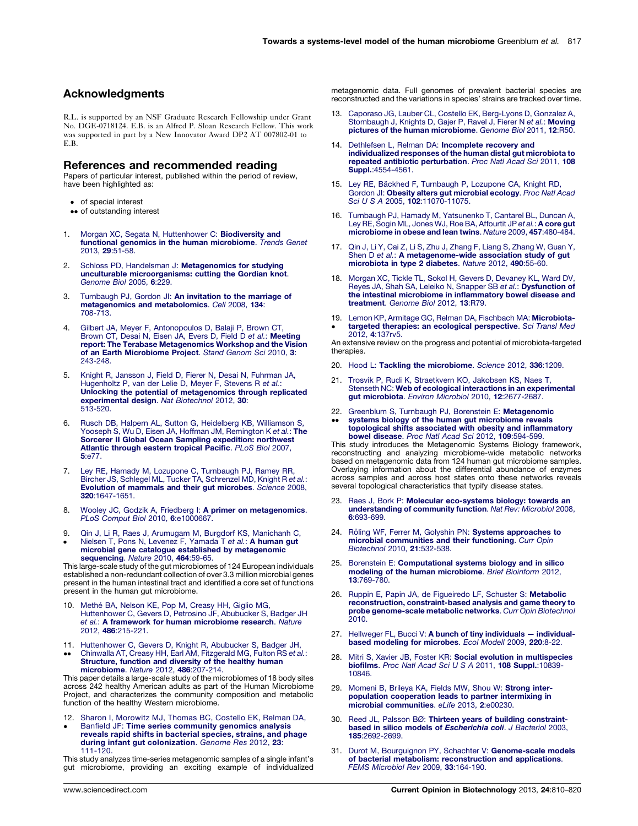## <span id="page-7-0"></span>Acknowledgments

R.L. is supported by an NSF Graduate Research Fellowship under Grant No. DGE-0718124. E.B. is an Alfred P. Sloan Research Fellow. This work was supported in part by a New Innovator Award DP2 AT 007802-01 to E.B.

#### References and recommended reading

Papers of particular interest, published within the period of review, have been highlighted as:

- of special interest
- •• of outstanding interest
- 1. Morgan XC, Segata N, [Huttenhower](http://refhub.elsevier.com/S0958-1669(13)00082-7/sbref0005) C: Biodiversity and functional genomics in the human [microbiome](http://refhub.elsevier.com/S0958-1669(13)00082-7/sbref0005). Trends Genet 2013, 29[:51-58.](http://refhub.elsevier.com/S0958-1669(13)00082-7/sbref0005)
- 2. Schloss PD, Handelsman J: [Metagenomics](http://refhub.elsevier.com/S0958-1669(13)00082-7/sbref0010) for studying unculturable [microorganisms:](http://refhub.elsevier.com/S0958-1669(13)00082-7/sbref0010) cutting the Gordian knot. [Genome](http://refhub.elsevier.com/S0958-1669(13)00082-7/sbref0010) Biol 2005, 6:229.
- [Turnbaugh](http://refhub.elsevier.com/S0958-1669(13)00082-7/sbref0015) PJ, Gordon JI: An invitation to the marriage of [metagenomics](http://refhub.elsevier.com/S0958-1669(13)00082-7/sbref0015) and metabolomics. Cell 2008, 134: [708-713.](http://refhub.elsevier.com/S0958-1669(13)00082-7/sbref0015)
- 4. Gilbert JA, Meyer F, [Antonopoulos](http://refhub.elsevier.com/S0958-1669(13)00082-7/sbref0020) D, Balaji P, Brown CT, Brown CT, Desai N, Eisen JA, Evers D, Field D et al.: [Meeting](http://refhub.elsevier.com/S0958-1669(13)00082-7/sbref0020) report: The Terabase [Metagenomics](http://refhub.elsevier.com/S0958-1669(13)00082-7/sbref0020) Workshop and the Vision of an Earth [Microbiome](http://refhub.elsevier.com/S0958-1669(13)00082-7/sbref0020) Project. Stand Genom Sci 2010, 3: [243-248.](http://refhub.elsevier.com/S0958-1669(13)00082-7/sbref0020)
- 5. Knight R, Jansson J, Field D, Fierer N, Desai N, [Fuhrman](http://refhub.elsevier.com/S0958-1669(13)00082-7/sbref0025) JA, [Hugenholtz](http://refhub.elsevier.com/S0958-1669(13)00082-7/sbref0025) P, van der Lelie D, Meyer F, Stevens R et al.: Unlocking the potential of [metagenomics](http://refhub.elsevier.com/S0958-1669(13)00082-7/sbref0025) through replicated [experimental](http://refhub.elsevier.com/S0958-1669(13)00082-7/sbref0025) design. Nat Biotechnol 2012, 30: [513-520.](http://refhub.elsevier.com/S0958-1669(13)00082-7/sbref0025)
- 6. Rusch DB, Halpern AL, Sutton G, [Heidelberg](http://refhub.elsevier.com/S0958-1669(13)00082-7/sbref0030) KB, Williamson S, Yooseph S, Wu D, Eisen JA, Hoffman JM, [Remington](http://refhub.elsevier.com/S0958-1669(13)00082-7/sbref0030) K et al.: The Sorcerer II Global Ocean Sampling [expedition:](http://refhub.elsevier.com/S0958-1669(13)00082-7/sbref0030) northwest Atlantic [through](http://refhub.elsevier.com/S0958-1669(13)00082-7/sbref0030) eastern tropical Pacific. PLoS Biol 2007, 5[:e77.](http://refhub.elsevier.com/S0958-1669(13)00082-7/sbref0030)
- 7. Ley RE, Hamady M, Lozupone C, [Turnbaugh](http://refhub.elsevier.com/S0958-1669(13)00082-7/sbref0035) PJ, Ramey RR, Bircher JS, Schlegel ML, Tucker TA, [Schrenzel](http://refhub.elsevier.com/S0958-1669(13)00082-7/sbref0035) MD, Knight R et al.: Evolution of [mammals](http://refhub.elsevier.com/S0958-1669(13)00082-7/sbref0035) and their gut microbes. Science 2008, 320[:1647-1651.](http://refhub.elsevier.com/S0958-1669(13)00082-7/sbref0035)
- 8. Wooley JC, Godzik A, Friedberg I: **A primer on [metagenomics](http://refhub.elsevier.com/S0958-1669(13)00082-7/sbref0040)**.<br>PLoS Comput Biol 2010, 6[:e1000667.](http://refhub.elsevier.com/S0958-1669(13)00082-7/sbref0040)
- 9. Qin J, Li R, Raes J, Arumugam M, Burgdorf KS, [Manichanh](http://refhub.elsevier.com/S0958-1669(13)00082-7/sbref0045) C,
- $\bullet$ Nielsen T, Pons N, Levenez F, [Yamada](http://refhub.elsevier.com/S0958-1669(13)00082-7/sbref0045) T et al.: A human gut microbial gene catalogue established by [metagenomic](http://refhub.elsevier.com/S0958-1669(13)00082-7/sbref0045) [sequencing](http://refhub.elsevier.com/S0958-1669(13)00082-7/sbref0045). Nature 2010, 464:59-65.

This large-scale study of the gut microbiomes of 124 European individuals established a non-redundant collection of over 3.3 million microbial genes present in the human intestinal tract and identified a core set of functions present in the human gut microbiome.

- 10. Methé BA, Nelson KE, Pop M, [Creasy](http://refhub.elsevier.com/S0958-1669(13)00082-7/sbref0050) HH, Giglio MG, [Huttenhower](http://refhub.elsevier.com/S0958-1669(13)00082-7/sbref0050) C, Gevers D, Petrosino JF, Abubucker S, Badger JH et al.: A framework for human [microbiome](http://refhub.elsevier.com/S0958-1669(13)00082-7/sbref0050) research. Nature 2012, 486[:215-221.](http://refhub.elsevier.com/S0958-1669(13)00082-7/sbref0050)
- 11.
- 11. [Huttenhower](http://refhub.elsevier.com/S0958-1669(13)00082-7/sbref0055) C, Gevers D, Knight R, Abubucker S, Badger JH,<br>●● Chinwalla AT, Creasy HH, Earl AM, [Fitzgerald](http://refhub.elsevier.com/S0958-1669(13)00082-7/sbref0055) MG, Fulton RS e*t al.*: [Structure,](http://refhub.elsevier.com/S0958-1669(13)00082-7/sbref0055) function and diversity of the healthy human [microbiome](http://refhub.elsevier.com/S0958-1669(13)00082-7/sbref0055). Nature 2012, 486:207-214.

This paper details a large-scale study of the microbiomes of 18 body sites across 242 healthy American adults as part of the Human Microbiome Project, and characterizes the community composition and metabolic function of the healthy Western microbiome.

12. Sharon I, [Morowitz](http://refhub.elsevier.com/S0958-1669(13)00082-7/sbref0060) MJ, Thomas BC, Costello EK, Relman DA,  $\bullet$ Banfield JF: Time series [community](http://refhub.elsevier.com/S0958-1669(13)00082-7/sbref0060) genomics analysis reveals rapid shifts in [bacterial](http://refhub.elsevier.com/S0958-1669(13)00082-7/sbref0060) species, strains, and phage during infant gut [colonization](http://refhub.elsevier.com/S0958-1669(13)00082-7/sbref0060). Genome Res 2012, 23: [111-120.](http://refhub.elsevier.com/S0958-1669(13)00082-7/sbref0060)

This study analyzes time-series metagenomic samples of a single infant's gut microbiome, providing an exciting example of individualized metagenomic data. Full genomes of prevalent bacterial species are reconstructed and the variations in species' strains are tracked over time.

- 13. Caporaso JG, Lauber CL, Costello EK, [Berg-Lyons](http://refhub.elsevier.com/S0958-1669(13)00082-7/sbref0065) D, Gonzalez A, [Stombaugh](http://refhub.elsevier.com/S0958-1669(13)00082-7/sbref0065) J, Knights D, Gajer P, Ravel J, Fierer N et al.: Moving pictures of the human [microbiome](http://refhub.elsevier.com/S0958-1669(13)00082-7/sbref0065). Genome Biol 2011, 12:R50.
- 14. Dethlefsen L, Relman DA: [Incomplete](http://refhub.elsevier.com/S0958-1669(13)00082-7/sbref0070) recovery and [individualized](http://refhub.elsevier.com/S0958-1669(13)00082-7/sbref0070) responses of the human distal gut microbiota to repeated antibiotic [perturbation](http://refhub.elsevier.com/S0958-1669(13)00082-7/sbref0070). Proc Natl Acad Sci 2011, 108 Suppl.: 4554-4561.
- 15. Ley RE, Bäckhed F, [Turnbaugh](http://refhub.elsevier.com/S0958-1669(13)00082-7/sbref0075) P, Lozupone CA, Knight RD, Gordon JI: Obesity alters gut [microbial](http://refhub.elsevier.com/S0958-1669(13)00082-7/sbref0075) ecology. Proc Natl Acad Sci U S A 2005, 102[:11070-11075.](http://refhub.elsevier.com/S0958-1669(13)00082-7/sbref0075)
- 16. Turnbaugh PJ, Hamady M, [Yatsunenko](http://refhub.elsevier.com/S0958-1669(13)00082-7/sbref0080) T, Cantarel BL, Duncan A,<br>Ley RE, Sogin ML, Jones WJ, Roe BA, [Affourtit](http://refhub.elsevier.com/S0958-1669(13)00082-7/sbref0080) JP e*t al.*: **A core gut** [microbiome](http://refhub.elsevier.com/S0958-1669(13)00082-7/sbref0080) in obese and lean twins. Nature 2009, 457:480-484.
- 17. Qin J, Li Y, Cai Z, Li S, Zhu J, Zhang F, Liang S, [Zhang](http://refhub.elsevier.com/S0958-1669(13)00082-7/sbref0085) W, Guan Y, Shen D et al.: A [metagenome-wide](http://refhub.elsevier.com/S0958-1669(13)00082-7/sbref0085) association study of gut [microbiota](http://refhub.elsevier.com/S0958-1669(13)00082-7/sbref0085) in type 2 diabetes. Nature 2012, 490:55-60.
- 18. Morgan XC, Tickle TL, Sokol H, Gevers D, [Devaney](http://refhub.elsevier.com/S0958-1669(13)00082-7/sbref0090) KL, Ward DV, Reyes JA, Shah SA, Leleiko N, Snapper SB et al.: [Dysfunction](http://refhub.elsevier.com/S0958-1669(13)00082-7/sbref0090) of the intestinal microbiome in [inflammatory](http://refhub.elsevier.com/S0958-1669(13)00082-7/sbref0090) bowel disease and [treatment](http://refhub.elsevier.com/S0958-1669(13)00082-7/sbref0090). Genome Biol 2012, 13:R79.
- 19. Lemon KP, Armitage GC, Relman DA, Fischbach MA: [Microbiota-](http://refhub.elsevier.com/S0958-1669(13)00082-7/sbref0095)targeted therapies: an ecological [perspective](http://refhub.elsevier.com/S0958-1669(13)00082-7/sbref0095). Sci Transl Med 2012, 4[:137rv5.](http://refhub.elsevier.com/S0958-1669(13)00082-7/sbref0095)

An extensive review on the progress and potential of microbiota-targeted therapies.

- 20. Hood L: Tackling the [microbiome](http://refhub.elsevier.com/S0958-1669(13)00082-7/sbref0100). Science 2012, 336:1209.
- 21. Trosvik P, Rudi K, [Straetkvern](http://refhub.elsevier.com/S0958-1669(13)00082-7/sbref0105) KO, Jakobsen KS, Naes T, Stenseth NC: Web of ecological interactions in an [experimental](http://refhub.elsevier.com/S0958-1669(13)00082-7/sbref0105) gut microbiota. Environ Microbiol 2010, 12[:2677-2687.](http://refhub.elsevier.com/S0958-1669(13)00082-7/sbref0105)
- 22. Greenblum S, Turnbaugh PJ, Borenstein E: [Metagenomic](http://refhub.elsevier.com/S0958-1669(13)00082-7/sbref0110) -systems biology of the human gut [microbiome](http://refhub.elsevier.com/S0958-1669(13)00082-7/sbref0110) reveals topological shifts associated with obesity and [inflammatory](http://refhub.elsevier.com/S0958-1669(13)00082-7/sbref0110) bowel disease. Proc Natl Acad Sci 2012, 109[:594-599.](http://refhub.elsevier.com/S0958-1669(13)00082-7/sbref0110)

This study introduces the Metagenomic Systems Biology framework, reconstructing and analyzing microbiome-wide metabolic networks based on metagenomic data from 124 human gut microbiome samples. Overlaying information about the differential abundance of enzymes across samples and across host states onto these networks reveals several topological characteristics that typify disease states.

- 23. Raes J, Bork P: Molecular [eco-systems](http://refhub.elsevier.com/S0958-1669(13)00082-7/sbref0115) biology: towards an [understanding](http://refhub.elsevier.com/S0958-1669(13)00082-7/sbref0115) of community function. Nat Rev: Microbiol 2008, 6[:693-699.](http://refhub.elsevier.com/S0958-1669(13)00082-7/sbref0115)
- 24. Röling WF, Ferrer M, Golyshin PN: Systems [approaches](http://refhub.elsevier.com/S0958-1669(13)00082-7/sbref0120) to microbial [communities](http://refhub.elsevier.com/S0958-1669(13)00082-7/sbref0120) and their functioning. Curr Opin [Biotechnol](http://refhub.elsevier.com/S0958-1669(13)00082-7/sbref0120) 2010, 21:532-538.
- 25. Borenstein E: [Computational](http://refhub.elsevier.com/S0958-1669(13)00082-7/sbref0125) systems biology and in silico modeling of the human [microbiome](http://refhub.elsevier.com/S0958-1669(13)00082-7/sbref0125). Brief Bioinform 2012, 13[:769-780.](http://refhub.elsevier.com/S0958-1669(13)00082-7/sbref0125)
- 26. Ruppin E, Papin JA, de [Figueiredo](http://refhub.elsevier.com/S0958-1669(13)00082-7/sbref0130) LF, Schuster S: Metabolic reconstruction, [constraint-based](http://refhub.elsevier.com/S0958-1669(13)00082-7/sbref0130) analysis and game theory to probe [genome-scale](http://refhub.elsevier.com/S0958-1669(13)00082-7/sbref0130) metabolic networks. Curr Opin Biotechnol [2010.](http://refhub.elsevier.com/S0958-1669(13)00082-7/sbref0130)
- 27. Hellweger FL, Bucci V: A bunch of tiny [individuals](http://refhub.elsevier.com/S0958-1669(13)00082-7/sbref0135) individualbased modeling for [microbes](http://refhub.elsevier.com/S0958-1669(13)00082-7/sbref0135). Ecol Modell 2009, 220:8-22.
- 28. Mitri S, Xavier JB, Foster KR: Social evolution in [multispecies](http://refhub.elsevier.com/S0958-1669(13)00082-7/sbref0140) [biofilms](http://refhub.elsevier.com/S0958-1669(13)00082-7/sbref0140). Proc Natl Acad Sci U S A 2011, 108 Suppl.:10839- [10846.](http://refhub.elsevier.com/S0958-1669(13)00082-7/sbref0140)
- 29. [Momeni](http://refhub.elsevier.com/S0958-1669(13)00082-7/sbref0145) B, Brileya KA, Fields MW, Shou W: Strong interpopulation [cooperation](http://refhub.elsevier.com/S0958-1669(13)00082-7/sbref0145) leads to partner intermixing in microbial [communities](http://refhub.elsevier.com/S0958-1669(13)00082-7/sbref0145). eLife 2013, 2:e00230.
- 30. Reed JL, Palsson BØ: Thirteen years of building [constraint-](http://refhub.elsevier.com/S0958-1669(13)00082-7/sbref0150)based in silico models of [Escherichia](http://refhub.elsevier.com/S0958-1669(13)00082-7/sbref0150) coli. J Bacteriol 2003, 185[:2692-2699.](http://refhub.elsevier.com/S0958-1669(13)00082-7/sbref0150)
- 31. Durot M, Bourguignon PY, Schachter V: [Genome-scale](http://refhub.elsevier.com/S0958-1669(13)00082-7/sbref0155) models of bacterial metabolism: [reconstruction](http://refhub.elsevier.com/S0958-1669(13)00082-7/sbref0155) and applications. FEMS Microbiol Rev 2009, 33[:164-190.](http://refhub.elsevier.com/S0958-1669(13)00082-7/sbref0155)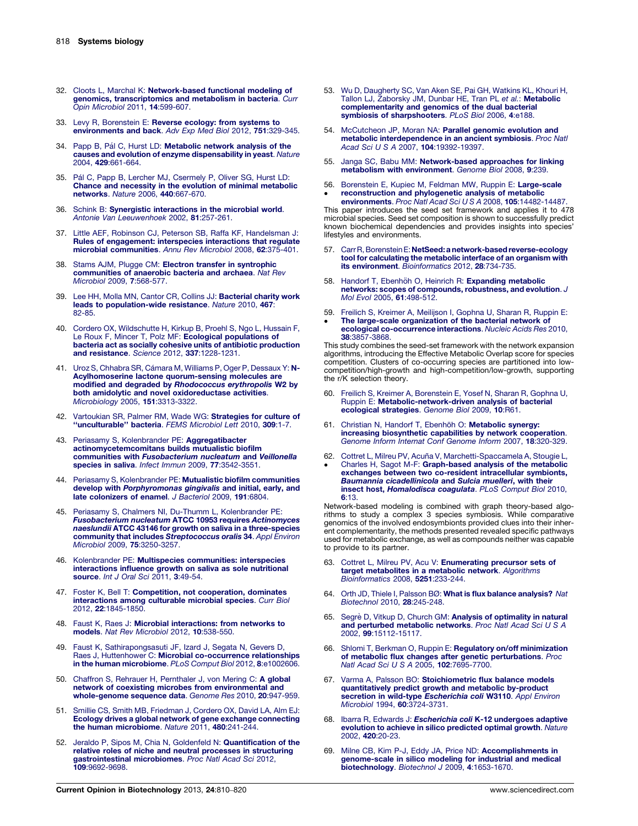- <span id="page-8-0"></span>32. Cloots L, Marchal K: [Network-based](http://refhub.elsevier.com/S0958-1669(13)00082-7/sbref0160) functional modeling of genomics, [transcriptomics](http://refhub.elsevier.com/S0958-1669(13)00082-7/sbref0160) and metabolism in bacteria. Curr Opin Microbiol 2011, 14[:599-607.](http://refhub.elsevier.com/S0958-1669(13)00082-7/sbref0160)
- 33. Levy R, [Borenstein](http://refhub.elsevier.com/S0958-1669(13)00082-7/sbref0165) E: Reverse ecology: from systems to [environments](http://refhub.elsevier.com/S0958-1669(13)00082-7/sbref0165) and back. Adv Exp Med Biol 2012, 751:329-345.
- 34. Papp B, Pál C, Hurst LD: [Metabolic](http://refhub.elsevier.com/S0958-1669(13)00082-7/sbref0170) network analysis of the causes and evolution of enzyme [dispensability](http://refhub.elsevier.com/S0958-1669(13)00082-7/sbref0170) in yeast. Nature 2004, 429[:661-664.](http://refhub.elsevier.com/S0958-1669(13)00082-7/sbref0170)
- 35. Pál C, Papp B, Lercher MJ, [Csermely](http://refhub.elsevier.com/S0958-1669(13)00082-7/sbref0175) P, Oliver SG, Hurst LD: Chance and necessity in the evolution of minimal [metabolic](http://refhub.elsevier.com/S0958-1669(13)00082-7/sbref0175) [networks](http://refhub.elsevier.com/S0958-1669(13)00082-7/sbref0175). Nature 2006, 440:667-670.
- 36. Schink B: Synergistic [interactions](http://refhub.elsevier.com/S0958-1669(13)00082-7/sbref0180) in the microbial world. Antonie Van [Leeuwenhoek](http://refhub.elsevier.com/S0958-1669(13)00082-7/sbref0180) 2002, 81:257-261.
- 37. Little AEF, Robinson CJ, Peterson SB, Raffa KF, [Handelsman](http://refhub.elsevier.com/S0958-1669(13)00082-7/sbref0185) J: Rules of [engagement:](http://refhub.elsevier.com/S0958-1669(13)00082-7/sbref0185) interspecies interactions that regulate microbial [communities](http://refhub.elsevier.com/S0958-1669(13)00082-7/sbref0185). Annu Rev Microbiol 2008, 62:375-401.
- 38. Stams AJM, Plugge CM: Electron transfer in [syntrophic](http://refhub.elsevier.com/S0958-1669(13)00082-7/sbref0190) [communities](http://refhub.elsevier.com/S0958-1669(13)00082-7/sbref0190) of anaerobic bacteria and archaea. Nat Rev Microbiol 2009, 7[:568-577.](http://refhub.elsevier.com/S0958-1669(13)00082-7/sbref0190)
- Lee HH, Molla MN, Cantor CR, Collins JJ: [Bacterial](http://refhub.elsevier.com/S0958-1669(13)00082-7/sbref0195) charity work leads to [population-wide](http://refhub.elsevier.com/S0958-1669(13)00082-7/sbref0195) resistance. Nature 2010, 467: [82-85.](http://refhub.elsevier.com/S0958-1669(13)00082-7/sbref0195)
- 40. Cordero OX, [Wildschutte](http://refhub.elsevier.com/S0958-1669(13)00082-7/sbref0200) H, Kirkup B, Proehl S, Ngo L, Hussain F, Le Roux F, Mincer T, Polz MF: Ecological [populations](http://refhub.elsevier.com/S0958-1669(13)00082-7/sbref0200) of bacteria act as socially cohesive units of antibiotic [production](http://refhub.elsevier.com/S0958-1669(13)00082-7/sbref0200) and resistance. Science 2012, 337[:1228-1231.](http://refhub.elsevier.com/S0958-1669(13)00082-7/sbref0200)
- 41. Uroz S, Chhabra SR, Cámara M, Williams P, Oger P, [Dessaux](http://refhub.elsevier.com/S0958-1669(13)00082-7/sbref0205) Y: N-Acylhomoserine lactone [quorum-sensing](http://refhub.elsevier.com/S0958-1669(13)00082-7/sbref0205) molecules are modified and degraded by [Rhodococcus](http://refhub.elsevier.com/S0958-1669(13)00082-7/sbref0205) erythropolis W2 by both amidolytic and novel [oxidoreductase](http://refhub.elsevier.com/S0958-1669(13)00082-7/sbref0205) activities. [Microbiology](http://refhub.elsevier.com/S0958-1669(13)00082-7/sbref0205) 2005, 151:3313-3322.
- 42. Vartoukian SR, Palmer RM, Wade WG: [Strategies](http://refhub.elsevier.com/S0958-1669(13)00082-7/sbref0210) for culture of [''unculturable''](http://refhub.elsevier.com/S0958-1669(13)00082-7/sbref0210) bacteria. FEMS Microbiol Lett 2010, 309:1-7.
- 43. Periasamy S, Kolenbrander PE: [Aggregatibacter](http://refhub.elsevier.com/S0958-1669(13)00082-7/sbref0215) [actinomycetemcomitans](http://refhub.elsevier.com/S0958-1669(13)00082-7/sbref0215) builds mutualistic biofilm communities with [Fusobacterium](http://refhub.elsevier.com/S0958-1669(13)00082-7/sbref0215) nucleatum and Veillonella species in saliva. Infect Immun 2009, 77[:3542-3551.](http://refhub.elsevier.com/S0958-1669(13)00082-7/sbref0215)
- 44. Periasamy S, Kolenbrander PE: Mutualistic biofilm [communities](http://refhub.elsevier.com/S0958-1669(13)00082-7/sbref0220) develop with *[Porphyromonas](http://refhub.elsevier.com/S0958-1669(13)00082-7/sbref0220) gingivalis* and initial, early, and<br>late [colonizers](http://refhub.elsevier.com/S0958-1669(13)00082-7/sbref0220) of enamel. *J Bacteriol* 2009, 191:6804.
- 45. Periasamy S, Chalmers NI, Du-Thumm L, [Kolenbrander](http://refhub.elsevier.com/S0958-1669(13)00082-7/sbref0225) PE: [Fusobacterium](http://refhub.elsevier.com/S0958-1669(13)00082-7/sbref0225) nucleatum ATCC 10953 requires Actinomyces naeslundii ATCC 43146 for growth on saliva in a [three-species](http://refhub.elsevier.com/S0958-1669(13)00082-7/sbref0225) community that includes [Streptococcus](http://refhub.elsevier.com/S0958-1669(13)00082-7/sbref0225) oralis 34. Appl Environ Microbiol 2009, 75[:3250-3257.](http://refhub.elsevier.com/S0958-1669(13)00082-7/sbref0225)
- 46. Kolenbrander PE: Multispecies [communities:](http://refhub.elsevier.com/S0958-1669(13)00082-7/sbref0230) interspecies [interactions](http://refhub.elsevier.com/S0958-1669(13)00082-7/sbref0230) influence growth on saliva as sole nutritional [source](http://refhub.elsevier.com/S0958-1669(13)00082-7/sbref0230). Int J Oral Sci 2011, 3:49-54.
- 47. Foster K, Bell T: [Competition,](http://refhub.elsevier.com/S0958-1669(13)00082-7/sbref0235) not cooperation, dominates [interactions](http://refhub.elsevier.com/S0958-1669(13)00082-7/sbref0235) among culturable microbial species. Curr Biol 2012, 22[:1845-1850.](http://refhub.elsevier.com/S0958-1669(13)00082-7/sbref0235)
- 48. Faust K, Raes J: Microbial [interactions:](http://refhub.elsevier.com/S0958-1669(13)00082-7/sbref0240) from networks to models. Nat Rev Microbiol 2012, 10[:538-550.](http://refhub.elsevier.com/S0958-1669(13)00082-7/sbref0240)
- 49. Faust K, [Sathirapongsasuti](http://refhub.elsevier.com/S0958-1669(13)00082-7/sbref0245) JF, Izard J, Segata N, Gevers D, Raes J, Huttenhower C: Microbial [co-occurrence](http://refhub.elsevier.com/S0958-1669(13)00082-7/sbref0245) relationships in the human [microbiome](http://refhub.elsevier.com/S0958-1669(13)00082-7/sbref0245). PLoS Comput Biol 2012, 8:e1002606.
- 50. Chaffron S, Rehrauer H, [Pernthaler](http://refhub.elsevier.com/S0958-1669(13)00082-7/sbref0250) J, von Mering C: A global network of coexisting microbes from [environmental](http://refhub.elsevier.com/S0958-1669(13)00082-7/sbref0250) and [whole-genome](http://refhub.elsevier.com/S0958-1669(13)00082-7/sbref0250) sequence data. Genome Res 2010, 20:947-959.
- 51. Smillie CS, Smith MB, [Friedman](http://refhub.elsevier.com/S0958-1669(13)00082-7/sbref0255) J, Cordero OX, David LA, Alm EJ: Ecology drives a global network of gene exchange [connecting](http://refhub.elsevier.com/S0958-1669(13)00082-7/sbref0255) the human [microbiome](http://refhub.elsevier.com/S0958-1669(13)00082-7/sbref0255). Nature 2011, 480:241-244.
- 52. Jeraldo P, Sipos M, Chia N, Goldenfeld N: [Quantification](http://refhub.elsevier.com/S0958-1669(13)00082-7/sbref0260) of the relative roles of niche and neutral processes in [structuring](http://refhub.elsevier.com/S0958-1669(13)00082-7/sbref0260) [gastrointestinal](http://refhub.elsevier.com/S0958-1669(13)00082-7/sbref0260) microbiomes. Proc Natl Acad Sci 2012, 109[:9692-9698.](http://refhub.elsevier.com/S0958-1669(13)00082-7/sbref0260)
- 53. Wu D, [Daugherty](http://refhub.elsevier.com/S0958-1669(13)00082-7/sbref0265) SC, Van Aken SE, Pai GH, Watkins KL, Khouri H, Tallon LJ, Zaborsky JM, Dunbar HE, Tran PL et al.: [Metabolic](http://refhub.elsevier.com/S0958-1669(13)00082-7/sbref0265) [complementarity](http://refhub.elsevier.com/S0958-1669(13)00082-7/sbref0265) and genomics of the dual bacterial symbiosis of [sharpshooters](http://refhub.elsevier.com/S0958-1669(13)00082-7/sbref0265). PLoS Biol 2006, 4:e188.
- 54. [McCutcheon](http://refhub.elsevier.com/S0958-1669(13)00082-7/sbref0270) JP, Moran NA: Parallel genomic evolution and metabolic [interdependence](http://refhub.elsevier.com/S0958-1669(13)00082-7/sbref0270) in an ancient symbiosis. Proc Natl Acad Sci U S A 2007, 104[:19392-19397.](http://refhub.elsevier.com/S0958-1669(13)00082-7/sbref0270)
- 55. Janga SC, Babu MM: [Network-based](http://refhub.elsevier.com/S0958-1669(13)00082-7/sbref0275) approaches for linking metabolism with [environment](http://refhub.elsevier.com/S0958-1669(13)00082-7/sbref0275). Genome Biol 2008, 9:239.
- 56. Borenstein E, Kupiec M, Feldman MW, Ruppin E: [Large-scale](http://refhub.elsevier.com/S0958-1669(13)00082-7/sbref0280) [reconstruction](http://refhub.elsevier.com/S0958-1669(13)00082-7/sbref0280) and phylogenetic analysis of metabolic [environments](http://refhub.elsevier.com/S0958-1669(13)00082-7/sbref0280). Proc Natl Acad Sci U S A 2008, 105:14482-14487.

This paper introduces the seed set framework and applies it to 478 microbial species. Seed set composition is shown to successfully predict known biochemical dependencies and provides insights into species' lifestyles and environments.

- 57. Carr R, Borenstein E: NetSeed: a network-based reverse-ecology tool for [calculating](http://refhub.elsevier.com/S0958-1669(13)00082-7/sbref0285) the metabolic interface of an organism with its environment. [Bioinformatics](http://refhub.elsevier.com/S0958-1669(13)00082-7/sbref0285) 2012, 28:734-735.
- 58. Handorf T, Ebenhöh O, Heinrich R: [Expanding](http://refhub.elsevier.com/S0958-1669(13)00082-7/sbref0290) metabolic networks: scopes of [compounds,](http://refhub.elsevier.com/S0958-1669(13)00082-7/sbref0290) robustness, and evolution. J Mol Evol 2005, 61[:498-512.](http://refhub.elsevier.com/S0958-1669(13)00082-7/sbref0290)
- 59. Freilich S, Kreimer A, [Meilijson](http://refhub.elsevier.com/S0958-1669(13)00082-7/sbref0295) I, Gophna U, Sharan R, Ruppin E: -
- The large-scale [organization](http://refhub.elsevier.com/S0958-1669(13)00082-7/sbref0295) of the bacterial network of ecological [co-occurrence](http://refhub.elsevier.com/S0958-1669(13)00082-7/sbref0295) interactions. Nucleic Acids Res 2010, 38[:3857-3868.](http://refhub.elsevier.com/S0958-1669(13)00082-7/sbref0295)

This study combines the seed-set framework with the network expansion algorithms, introducing the Effective Metabolic Overlap score for species competition. Clusters of co-occurring species are partitioned into lowcompetition/high-growth and high-competition/low-growth, supporting the r/K selection theory.

- 60. Freilich S, Kreimer A, [Borenstein](http://refhub.elsevier.com/S0958-1669(13)00082-7/sbref0300) E, Yosef N, Sharan R, Gophna U, Ruppin E: [Metabolic-network-driven](http://refhub.elsevier.com/S0958-1669(13)00082-7/sbref0300) analysis of bacterial [ecological](http://refhub.elsevier.com/S0958-1669(13)00082-7/sbref0300) strategies. Genome Biol 2009, 10:R61.
- 61. Christian N, Handorf T, Ebenhöh O: [Metabolic](http://refhub.elsevier.com/S0958-1669(13)00082-7/sbref0305) synergy: increasing [biosynthetic](http://refhub.elsevier.com/S0958-1669(13)00082-7/sbref0305) capabilities by network cooperation. Genome Inform Internat Conf Genome Inform 2007, 18[:320-329.](http://refhub.elsevier.com/S0958-1669(13)00082-7/sbref0305)
- 62. Cottret L, Milreu PV, Acuña V, [Marchetti-Spaccamela](http://refhub.elsevier.com/S0958-1669(13)00082-7/sbref0310) A, Stougie L, -Charles H, Sagot M-F: [Graph-based](http://refhub.elsevier.com/S0958-1669(13)00082-7/sbref0310) analysis of the metabolic exchanges between two co-resident [intracellular](http://refhub.elsevier.com/S0958-1669(13)00082-7/sbref0310) symbionts, Baumannia [cicadellinicola](http://refhub.elsevier.com/S0958-1669(13)00082-7/sbref0310) and Sulcia muelleri, with their insect host, [Homalodisca](http://refhub.elsevier.com/S0958-1669(13)00082-7/sbref0310) coagulata. PLoS Comput Biol 2010, 6[:13.](http://refhub.elsevier.com/S0958-1669(13)00082-7/sbref0310)

Network-based modeling is combined with graph theory-based algorithms to study a complex 3 species symbiosis. While comparative genomics of the involved endosymbionts provided clues into their inherent complementarity, the methods presented revealed specific pathways used for metabolic exchange, as well as compounds neither was capable to provide to its partner.

- 63. Cottret L, Milreu PV, Acu V: [Enumerating](http://refhub.elsevier.com/S0958-1669(13)00082-7/sbref0315) precursor sets of target [metabolites](http://refhub.elsevier.com/S0958-1669(13)00082-7/sbref0315) in a metabolic network. Algorithms [Bioinformatics](http://refhub.elsevier.com/S0958-1669(13)00082-7/sbref0315) 2008, 5251:233-244.
- Orth JD, Thiele I, Palsson BØ: What is flux balance [analysis?](http://refhub.elsevier.com/S0958-1669(13)00082-7/sbref0320) Nat [Biotechnol](http://refhub.elsevier.com/S0958-1669(13)00082-7/sbref0320) 2010, 28:245-248.
- 65. Segrè D, Vitkup D, Church GM: Analysis of [optimality](http://refhub.elsevier.com/S0958-1669(13)00082-7/sbref0325) in natural and perturbed [metabolic](http://refhub.elsevier.com/S0958-1669(13)00082-7/sbref0325) networks. Proc Natl Acad Sci U S A 2002, 99[:15112-15117.](http://refhub.elsevier.com/S0958-1669(13)00082-7/sbref0325)
- 66. Shlomi T, Berkman O, Ruppin E: Regulatory on/off [minimization](http://refhub.elsevier.com/S0958-1669(13)00082-7/sbref0330) of metabolic flux changes after genetic [perturbations](http://refhub.elsevier.com/S0958-1669(13)00082-7/sbref0330). Proc Natl Acad Sci U S A 2005, 102[:7695-7700.](http://refhub.elsevier.com/S0958-1669(13)00082-7/sbref0330)
- 67. Varma A, Palsson BO: [Stoichiometric](http://refhub.elsevier.com/S0958-1669(13)00082-7/sbref0335) flux balance models [quantitatively](http://refhub.elsevier.com/S0958-1669(13)00082-7/sbref0335) predict growth and metabolic by-product secretion in wild-type [Escherichia](http://refhub.elsevier.com/S0958-1669(13)00082-7/sbref0335) coli W3110. Appl Environ Microbiol 1994, 60[:3724-3731.](http://refhub.elsevier.com/S0958-1669(13)00082-7/sbref0335)
- 68. Ibarra R, Edwards J: [Escherichia](http://refhub.elsevier.com/S0958-1669(13)00082-7/sbref0340) coli K-12 undergoes adaptive evolution to achieve in silico [predicted](http://refhub.elsevier.com/S0958-1669(13)00082-7/sbref0340) optimal growth. Nature 2002, 420[:20-23.](http://refhub.elsevier.com/S0958-1669(13)00082-7/sbref0340)
- 69. Milne CB, Kim P-J, Eddy JA, Price ND: [Accomplishments](http://refhub.elsevier.com/S0958-1669(13)00082-7/sbref0345) in [genome-scale](http://refhub.elsevier.com/S0958-1669(13)00082-7/sbref0345) in silico modeling for industrial and medical [biotechnology](http://refhub.elsevier.com/S0958-1669(13)00082-7/sbref0345). Biotechnol J 2009, 4:1653-1670.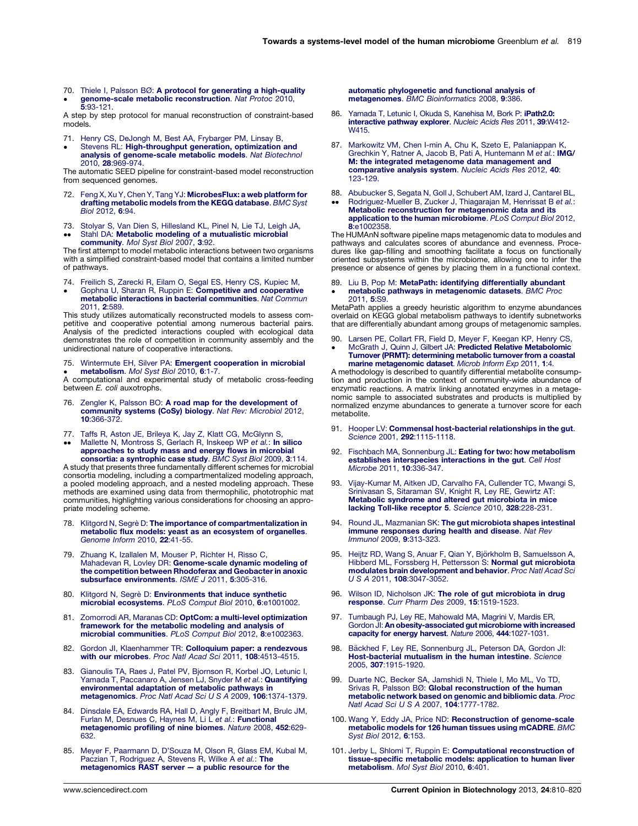<span id="page-9-0"></span>70. Thiele I, Palsson BØ: A protocol for generating a [high-quality](http://refhub.elsevier.com/S0958-1669(13)00082-7/sbref0350)  $\bullet$ genome-scale metabolic [reconstruction](http://refhub.elsevier.com/S0958-1669(13)00082-7/sbref0350). Nat Protoc 2010, 5[:93-121.](http://refhub.elsevier.com/S0958-1669(13)00082-7/sbref0350)

A step by step protocol for manual reconstruction of constraint-based models.

- 71. Henry CS, DeJongh M, Best AA, [Frybarger](http://refhub.elsevier.com/S0958-1669(13)00082-7/sbref0355) PM, Linsay B,
- $\bullet$ Stevens RL: [High-throughput](http://refhub.elsevier.com/S0958-1669(13)00082-7/sbref0355) generation, optimization and analysis of [genome-scale](http://refhub.elsevier.com/S0958-1669(13)00082-7/sbref0355) metabolic models. Nat Biotechnol 2010, 28[:969-974.](http://refhub.elsevier.com/S0958-1669(13)00082-7/sbref0355)

The automatic SEED pipeline for constraint-based model reconstruction from sequenced genomes.

- 72. Feng X, Xu Y, Chen Y, Tang YJ: [MicrobesFlux:](http://refhub.elsevier.com/S0958-1669(13)00082-7/sbref0360) a web platform for drafting [metabolic](http://refhub.elsevier.com/S0958-1669(13)00082-7/sbref0360) models from the KEGG database. BMC Syst Biol [2012,](http://refhub.elsevier.com/S0958-1669(13)00082-7/sbref0360) 6:94.
- 73. Stolyar S, Van Dien S, [Hillesland](http://refhub.elsevier.com/S0958-1669(13)00082-7/sbref0365) KL, Pinel N, Lie TJ, Leigh JA,

 $\bullet$ Stahl DA: Metabolic modeling of a [mutualistic](http://refhub.elsevier.com/S0958-1669(13)00082-7/sbref0365) microbial [community](http://refhub.elsevier.com/S0958-1669(13)00082-7/sbref0365). Mol Syst Biol 2007, 3:92.

The first attempt to model metabolic interactions between two organisms with a simplified constraint-based model that contains a limited number of pathways.

74. Freilich S, [Zarecki](http://refhub.elsevier.com/S0958-1669(13)00082-7/sbref0370) R, Eilam O, Segal ES, Henry CS, Kupiec M,

 $\bullet$ Gophna U, Sharan R, Ruppin E: [Competitive](http://refhub.elsevier.com/S0958-1669(13)00082-7/sbref0370) and cooperative metabolic interactions in bacterial [communities](http://refhub.elsevier.com/S0958-1669(13)00082-7/sbref0370). Nat Commun [2011,](http://refhub.elsevier.com/S0958-1669(13)00082-7/sbref0370) 2:589.

This study utilizes automatically reconstructed models to assess competitive and cooperative potential among numerous bacterial pairs. Analysis of the predicted interactions coupled with ecological data demonstrates the role of competition in community assembly and the unidirectional nature of cooperative interactions.

75. Wintermute EH, Silver PA: Emergent [cooperation](http://refhub.elsevier.com/S0958-1669(13)00082-7/sbref0375) in microbial [metabolism](http://refhub.elsevier.com/S0958-1669(13)00082-7/sbref0375). Mol Syst Biol 2010, 6:1-7.

• metabolism. Mol Syst Biol 2010, 6:1-7.<br>A computational and experimental study of metabolic cross-feeding between E. coli auxotrophs.

- 76. Zengler K, Palsson BO: A road map for the [development](http://refhub.elsevier.com/S0958-1669(13)00082-7/sbref0380) of [community](http://refhub.elsevier.com/S0958-1669(13)00082-7/sbref0380) systems (CoSy) biology. Nat Rev: Microbiol 2012, 10[:366-372.](http://refhub.elsevier.com/S0958-1669(13)00082-7/sbref0380)
- 77. Taffs R, Aston JE, Brileya K, Jay Z, Klatt CG, [McGlynn](http://refhub.elsevier.com/S0958-1669(13)00082-7/sbref0385) S,
- $\bullet$ -Mallette N, [Montross](http://refhub.elsevier.com/S0958-1669(13)00082-7/sbref0385) S, Gerlach R, Inskeep WP et al.: In silico [approaches](http://refhub.elsevier.com/S0958-1669(13)00082-7/sbref0385) to study mass and energy flows in microbial consortia: a [syntrophic](http://refhub.elsevier.com/S0958-1669(13)00082-7/sbref0385) case study. BMC Syst Biol 2009, 3:114.

A study that presents three fundamentally different schemes for microbial consortia modeling, including a compartmentalized modeling approach, a pooled modeling approach, and a nested modeling approach. These methods are examined using data from thermophilic, phototrophic mat communities, highlighting various considerations for choosing an appropriate modeling scheme.

- 78. Klitgord N, Segrè D: The importance of [compartmentalization](http://refhub.elsevier.com/S0958-1669(13)00082-7/sbref0390) in metabolic flux models: yeast as an [ecosystem](http://refhub.elsevier.com/S0958-1669(13)00082-7/sbref0390) of organelles. [Genome](http://refhub.elsevier.com/S0958-1669(13)00082-7/sbref0390) Inform 2010, 22:41-55.
- 79. Zhuang K, [Izallalen](http://refhub.elsevier.com/S0958-1669(13)00082-7/sbref0395) M, Mouser P, Richter H, Risso C, Mahadevan R, Lovley DR: [Genome-scale](http://refhub.elsevier.com/S0958-1669(13)00082-7/sbref0395) dynamic modeling of the [competition](http://refhub.elsevier.com/S0958-1669(13)00082-7/sbref0395) between Rhodoferax and Geobacter in anoxic subsurface [environments](http://refhub.elsevier.com/S0958-1669(13)00082-7/sbref0395). ISME J 2011, 5:305-316.
- 80. Klitgord N, Segrè D: [Environments](http://refhub.elsevier.com/S0958-1669(13)00082-7/sbref0400) that induce synthetic microbial [ecosystems](http://refhub.elsevier.com/S0958-1669(13)00082-7/sbref0400). PLoS Comput Biol 2010, 6:e1001002.
- 81. Zomorrodi AR, Maranas CD: OptCom: a multi-level [optimization](http://refhub.elsevier.com/S0958-1669(13)00082-7/sbref0405) [framework](http://refhub.elsevier.com/S0958-1669(13)00082-7/sbref0405) for the metabolic modeling and analysis of microbial [communities](http://refhub.elsevier.com/S0958-1669(13)00082-7/sbref0405). PLoS Comput Biol 2012, 8:e1002363.
- 82. Gordon Jl, [Klaenhammer](http://refhub.elsevier.com/S0958-1669(13)00082-7/sbref0410) TR: Colloquium paper: a rendezvous with our microbes. Proc Natl Acad Sci 2011, 108[:4513-4515.](http://refhub.elsevier.com/S0958-1669(13)00082-7/sbref0410)
- 83. [Gianoulis](http://refhub.elsevier.com/S0958-1669(13)00082-7/sbref0415) TA, Raes J, Patel PV, Bjornson R, Korbel JO, Letunic I, Yamada T, Paccanaro A, Jensen LJ, Snyder M et al.: [Quantifying](http://refhub.elsevier.com/S0958-1669(13)00082-7/sbref0415) [environmental](http://refhub.elsevier.com/S0958-1669(13)00082-7/sbref0415) adaptation of metabolic pathways in [metagenomics](http://refhub.elsevier.com/S0958-1669(13)00082-7/sbref0415). Proc Natl Acad Sci U S A 2009, 106:1374-1379.
- 84. Dinsdale EA, [Edwards](http://refhub.elsevier.com/S0958-1669(13)00082-7/sbref0420) RA, Hall D, Angly F, Breitbart M, Brulc JM, Furlan M, Desnues C, Haynes M, Li L et al.: [Functional](http://refhub.elsevier.com/S0958-1669(13)00082-7/sbref0420) [metagenomic](http://refhub.elsevier.com/S0958-1669(13)00082-7/sbref0420) profiling of nine biomes. Nature 2008, 452:629- [632.](http://refhub.elsevier.com/S0958-1669(13)00082-7/sbref0420)
- 85. Meyer F, [Paarmann](http://refhub.elsevier.com/S0958-1669(13)00082-7/sbref0425) D, D'Souza M, Olson R, Glass EM, Kubal M, Paczian T, [Rodriguez](http://refhub.elsevier.com/S0958-1669(13)00082-7/sbref0425) A, Stevens R, Wilke A et al.: The [metagenomics](http://refhub.elsevier.com/S0958-1669(13)00082-7/sbref0425) RAST server — a public resource for the

automatic [phylogenetic](http://refhub.elsevier.com/S0958-1669(13)00082-7/sbref0425) and functional analysis of [metagenomes](http://refhub.elsevier.com/S0958-1669(13)00082-7/sbref0425). BMC Bioinformatics 2008, 9:386

- 86. Yamada T, Letunic I, Okuda S, [Kanehisa](http://refhub.elsevier.com/S0958-1669(13)00082-7/sbref0430) M, Bork P: **iPath2.0:** [interactive](http://refhub.elsevier.com/S0958-1669(13)00082-7/sbref0430) pathway explorer. Nucleic Acids Res 2011, 39:W412- [W415.](http://refhub.elsevier.com/S0958-1669(13)00082-7/sbref0430)
- 87. Markowitz VM, Chen I-min A, Chu K, Szeto E, [Palaniappan](http://refhub.elsevier.com/S0958-1669(13)00082-7/sbref0435) K Grechkin Y, Ratner A, Jacob B, Pati A, [Huntemann](http://refhub.elsevier.com/S0958-1669(13)00082-7/sbref0435) M et al.: IMG/ M: the integrated [metagenome](http://refhub.elsevier.com/S0958-1669(13)00082-7/sbref0435) data management and [comparative](http://refhub.elsevier.com/S0958-1669(13)00082-7/sbref0435) analysis system. Nucleic Acids Res 2012, 40: [123-129.](http://refhub.elsevier.com/S0958-1669(13)00082-7/sbref0435)
- 88. [Abubucker](http://refhub.elsevier.com/S0958-1669(13)00082-7/sbref0440) S, Segata N, Goll J, Schubert AM, Izard J, Cantarel BL,

--[Rodriguez-Mueller](http://refhub.elsevier.com/S0958-1669(13)00082-7/sbref0440) B, Zucker J, Thiagarajan M, Henrissat B et al.: Metabolic [reconstruction](http://refhub.elsevier.com/S0958-1669(13)00082-7/sbref0440) for metagenomic data and its application to the human [microbiome](http://refhub.elsevier.com/S0958-1669(13)00082-7/sbref0440). PLoS Comput Biol 2012, 8[:e1002358.](http://refhub.elsevier.com/S0958-1669(13)00082-7/sbref0440)

The HUMAnN software pipeline maps metagenomic data to modules and pathways and calculates scores of abundance and evenness. Procedures like gap-filling and smoothing facilitate a focus on functionally oriented subsystems within the microbiome, allowing one to infer the presence or absence of genes by placing them in a functional context.

89. Liu B, Pop M: MetaPath: identifying [differentially](http://refhub.elsevier.com/S0958-1669(13)00082-7/sbref0445) abundant metabolic pathways in [metagenomic](http://refhub.elsevier.com/S0958-1669(13)00082-7/sbref0445) datasets. BMC Proc [2011,](http://refhub.elsevier.com/S0958-1669(13)00082-7/sbref0445) 5:S9.

MetaPath applies a greedy heuristic algorithm to enzyme abundances overlaid on KEGG global metabolism pathways to identify subnetworks that are differentially abundant among groups of metagenomic samples.

- 90. Larsen PE, Collart FR, Field D, Meyer F, [Keegan](http://refhub.elsevier.com/S0958-1669(13)00082-7/sbref0450) KP, Henry CS,
- -McGrath J, Quinn J, Gilbert JA: Predicted Relative [Metabolomic](http://refhub.elsevier.com/S0958-1669(13)00082-7/sbref0450) Turnover (PRMT): [determining](http://refhub.elsevier.com/S0958-1669(13)00082-7/sbref0450) metabolic turnover from a coastal marine [metagenomic](http://refhub.elsevier.com/S0958-1669(13)00082-7/sbref0450) dataset. Microb Inform Exp 2011, 1:4.

A methodology is described to quantify differential metabolite consumption and production in the context of community-wide abundance of enzymatic reactions. A matrix linking annotated enzymes in a metagenomic sample to associated substrates and products is multiplied by normalized enzyme abundances to generate a turnover score for each metabolite.

- 91. Hooper LV: Commensal [host-bacterial](http://refhub.elsevier.com/S0958-1669(13)00082-7/sbref0455) relationships in the gut. Science 2001, 292[:1115-1118.](http://refhub.elsevier.com/S0958-1669(13)00082-7/sbref0455)
- 92. Fischbach MA, Sonnenburg JL: Eating for two: how [metabolism](http://refhub.elsevier.com/S0958-1669(13)00082-7/sbref0460) establishes [interspecies](http://refhub.elsevier.com/S0958-1669(13)00082-7/sbref0460) interactions in the gut. Cell Host Microbe 2011, 10[:336-347.](http://refhub.elsevier.com/S0958-1669(13)00082-7/sbref0460)
- 93. [Vijay-Kumar](http://refhub.elsevier.com/S0958-1669(13)00082-7/sbref0465) M, Aitken JD, Carvalho FA, Cullender TC, Mwangi S, [Srinivasan](http://refhub.elsevier.com/S0958-1669(13)00082-7/sbref0465) S, Sitaraman SV, Knight R, Ley RE, Gewirtz AT: Metabolic syndrome and altered gut [microbiota](http://refhub.elsevier.com/S0958-1669(13)00082-7/sbref0465) in mice lacking Toll-like receptor 5. Science 2010, 328[:228-231.](http://refhub.elsevier.com/S0958-1669(13)00082-7/sbref0465)
- 94. Round JL, [Mazmanian](http://refhub.elsevier.com/S0958-1669(13)00082-7/sbref0470) SK: The gut microbiota shapes intestinal immune [responses](http://refhub.elsevier.com/S0958-1669(13)00082-7/sbref0470) during health and disease. Nat Rev Immunol 2009, 9[:313-323.](http://refhub.elsevier.com/S0958-1669(13)00082-7/sbref0470)
- 95. Heijtz RD, Wang S, Anuar F, Qian Y, Björkholm B, [Samuelsson](http://refhub.elsevier.com/S0958-1669(13)00082-7/sbref0475) A,<br>Hibberd ML, Forssberg H, Pettersson S: **Normal gut [microbiota](http://refhub.elsevier.com/S0958-1669(13)00082-7/sbref0475)** modulates brain [development](http://refhub.elsevier.com/S0958-1669(13)00082-7/sbref0475) and behavior. Proc Natl Acad Sci U S A 2011, 108[:3047-3052.](http://refhub.elsevier.com/S0958-1669(13)00082-7/sbref0475)
- 96. Wilson ID, Nicholson JK: The role of gut [microbiota](http://refhub.elsevier.com/S0958-1669(13)00082-7/sbref0480) in drug response. Curr Pharm Des 2009, 15[:1519-1523.](http://refhub.elsevier.com/S0958-1669(13)00082-7/sbref0480)
- 97. [Turnbaugh](http://refhub.elsevier.com/S0958-1669(13)00082-7/sbref0485) PJ, Ley RE, Mahowald MA, Magrini V, Mardis ER, Gordon JI: An [obesity-associated](http://refhub.elsevier.com/S0958-1669(13)00082-7/sbref0485) gut microbiome with increased capacity for energy harvest. Nature 2006, 444[:1027-1031.](http://refhub.elsevier.com/S0958-1669(13)00082-7/sbref0485)
- 98. Bäckhed F, Ley RE, [Sonnenburg](http://refhub.elsevier.com/S0958-1669(13)00082-7/sbref0490) JL, Peterson DA, Gordon JI: [Host-bacterial](http://refhub.elsevier.com/S0958-1669(13)00082-7/sbref0490) mutualism in the human intestine. Science 2005, 307[:1915-1920.](http://refhub.elsevier.com/S0958-1669(13)00082-7/sbref0490)
- 99. Duarte NC, Becker SA, [Jamshidi](http://refhub.elsevier.com/S0958-1669(13)00082-7/sbref0495) N, Thiele I, Mo ML, Vo TD, Srivas R, Palsson BØ: Global [reconstruction](http://refhub.elsevier.com/S0958-1669(13)00082-7/sbref0495) of the human [metabolic](http://refhub.elsevier.com/S0958-1669(13)00082-7/sbref0495) network based on genomic and bibliomic data. Proc Natl Acad Sci U S A 2007, 104[:1777-1782.](http://refhub.elsevier.com/S0958-1669(13)00082-7/sbref0495)
- 100. Wang Y, Eddy JA, Price ND: [Reconstruction](http://refhub.elsevier.com/S0958-1669(13)00082-7/sbref0500) of genome-scale [metabolic](http://refhub.elsevier.com/S0958-1669(13)00082-7/sbref0500) models for 126 human tissues using mCADRE. BMC Syst Biol [2012,](http://refhub.elsevier.com/S0958-1669(13)00082-7/sbref0500) 6:153.
- 101. Jerby L, Shlomi T, Ruppin E: [Computational](http://refhub.elsevier.com/S0958-1669(13)00082-7/sbref0505) reconstruction of [tissue-specific](http://refhub.elsevier.com/S0958-1669(13)00082-7/sbref0505) metabolic models: application to human liver [metabolism](http://refhub.elsevier.com/S0958-1669(13)00082-7/sbref0505). Mol Syst Biol 2010, 6:401.